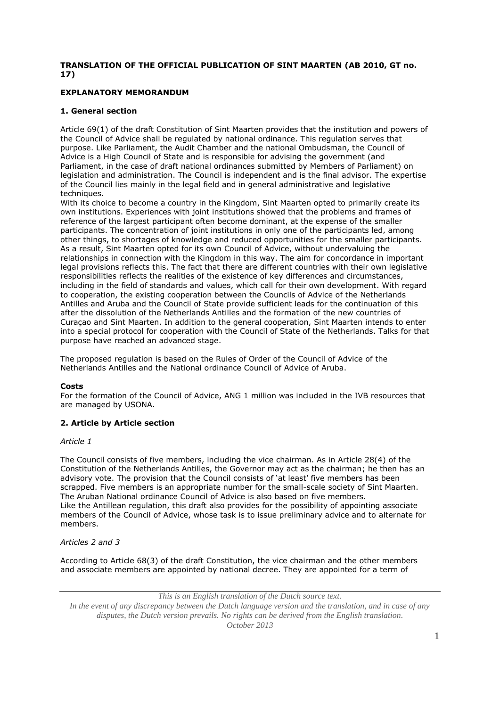# **TRANSLATION OF THE OFFICIAL PUBLICATION OF SINT MAARTEN (AB 2010, GT no. 17)**

# **EXPLANATORY MEMORANDUM**

# **1. General section**

Article 69(1) of the draft Constitution of Sint Maarten provides that the institution and powers of the Council of Advice shall be regulated by national ordinance. This regulation serves that purpose. Like Parliament, the Audit Chamber and the national Ombudsman, the Council of Advice is a High Council of State and is responsible for advising the government (and Parliament, in the case of draft national ordinances submitted by Members of Parliament) on legislation and administration. The Council is independent and is the final advisor. The expertise of the Council lies mainly in the legal field and in general administrative and legislative techniques.

With its choice to become a country in the Kingdom, Sint Maarten opted to primarily create its own institutions. Experiences with joint institutions showed that the problems and frames of reference of the largest participant often become dominant, at the expense of the smaller participants. The concentration of joint institutions in only one of the participants led, among other things, to shortages of knowledge and reduced opportunities for the smaller participants. As a result, Sint Maarten opted for its own Council of Advice, without undervaluing the relationships in connection with the Kingdom in this way. The aim for concordance in important legal provisions reflects this. The fact that there are different countries with their own legislative responsibilities reflects the realities of the existence of key differences and circumstances, including in the field of standards and values, which call for their own development. With regard to cooperation, the existing cooperation between the Councils of Advice of the Netherlands Antilles and Aruba and the Council of State provide sufficient leads for the continuation of this after the dissolution of the Netherlands Antilles and the formation of the new countries of Curaçao and Sint Maarten. In addition to the general cooperation, Sint Maarten intends to enter into a special protocol for cooperation with the Council of State of the Netherlands. Talks for that purpose have reached an advanced stage.

The proposed regulation is based on the Rules of Order of the Council of Advice of the Netherlands Antilles and the National ordinance Council of Advice of Aruba.

# **Costs**

For the formation of the Council of Advice, ANG 1 million was included in the IVB resources that are managed by USONA.

# **2. Article by Article section**

# *Article 1*

The Council consists of five members, including the vice chairman. As in Article 28(4) of the Constitution of the Netherlands Antilles, the Governor may act as the chairman; he then has an advisory vote. The provision that the Council consists of 'at least' five members has been scrapped. Five members is an appropriate number for the small-scale society of Sint Maarten. The Aruban National ordinance Council of Advice is also based on five members. Like the Antillean regulation, this draft also provides for the possibility of appointing associate members of the Council of Advice, whose task is to issue preliminary advice and to alternate for members.

# *Articles 2 and 3*

According to Article 68(3) of the draft Constitution, the vice chairman and the other members and associate members are appointed by national decree. They are appointed for a term of

*This is an English translation of the Dutch source text.*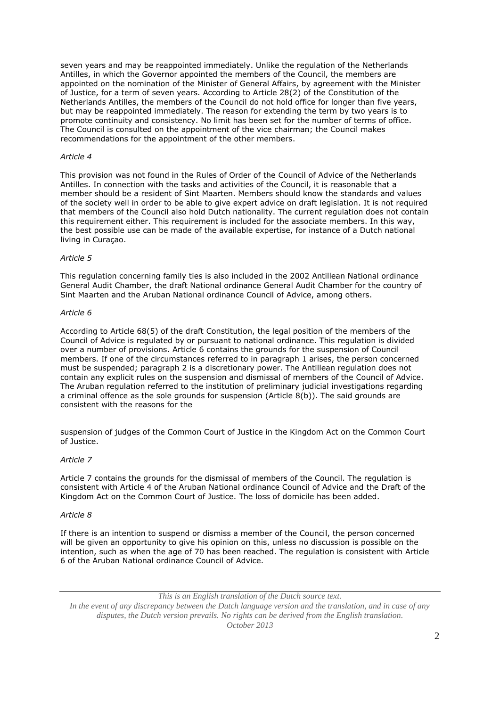seven years and may be reappointed immediately. Unlike the regulation of the Netherlands Antilles, in which the Governor appointed the members of the Council, the members are appointed on the nomination of the Minister of General Affairs, by agreement with the Minister of Justice, for a term of seven years. According to Article 28(2) of the Constitution of the Netherlands Antilles, the members of the Council do not hold office for longer than five years, but may be reappointed immediately. The reason for extending the term by two years is to promote continuity and consistency. No limit has been set for the number of terms of office. The Council is consulted on the appointment of the vice chairman; the Council makes recommendations for the appointment of the other members.

# *Article 4*

This provision was not found in the Rules of Order of the Council of Advice of the Netherlands Antilles. In connection with the tasks and activities of the Council, it is reasonable that a member should be a resident of Sint Maarten. Members should know the standards and values of the society well in order to be able to give expert advice on draft legislation. It is not required that members of the Council also hold Dutch nationality. The current regulation does not contain this requirement either. This requirement is included for the associate members. In this way, the best possible use can be made of the available expertise, for instance of a Dutch national living in Curaçao.

### *Article 5*

This regulation concerning family ties is also included in the 2002 Antillean National ordinance General Audit Chamber, the draft National ordinance General Audit Chamber for the country of Sint Maarten and the Aruban National ordinance Council of Advice, among others.

### *Article 6*

According to Article 68(5) of the draft Constitution, the legal position of the members of the Council of Advice is regulated by or pursuant to national ordinance. This regulation is divided over a number of provisions. Article 6 contains the grounds for the suspension of Council members. If one of the circumstances referred to in paragraph 1 arises, the person concerned must be suspended; paragraph 2 is a discretionary power. The Antillean regulation does not contain any explicit rules on the suspension and dismissal of members of the Council of Advice. The Aruban regulation referred to the institution of preliminary judicial investigations regarding a criminal offence as the sole grounds for suspension (Article 8(b)). The said grounds are consistent with the reasons for the

suspension of judges of the Common Court of Justice in the Kingdom Act on the Common Court of Justice.

## *Article 7*

Article 7 contains the grounds for the dismissal of members of the Council. The regulation is consistent with Article 4 of the Aruban National ordinance Council of Advice and the Draft of the Kingdom Act on the Common Court of Justice. The loss of domicile has been added.

## *Article 8*

If there is an intention to suspend or dismiss a member of the Council, the person concerned will be given an opportunity to give his opinion on this, unless no discussion is possible on the intention, such as when the age of 70 has been reached. The regulation is consistent with Article 6 of the Aruban National ordinance Council of Advice.

*This is an English translation of the Dutch source text.*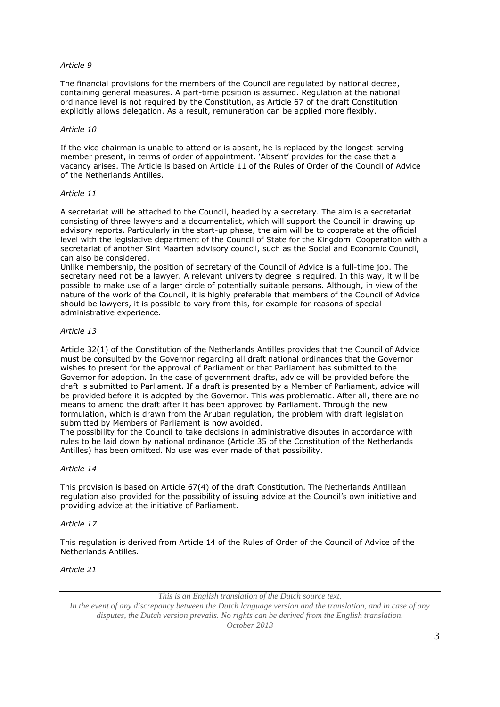# *Article 9*

The financial provisions for the members of the Council are regulated by national decree, containing general measures. A part-time position is assumed. Regulation at the national ordinance level is not required by the Constitution, as Article 67 of the draft Constitution explicitly allows delegation. As a result, remuneration can be applied more flexibly.

## *Article 10*

If the vice chairman is unable to attend or is absent, he is replaced by the longest-serving member present, in terms of order of appointment. 'Absent' provides for the case that a vacancy arises. The Article is based on Article 11 of the Rules of Order of the Council of Advice of the Netherlands Antilles.

## *Article 11*

A secretariat will be attached to the Council, headed by a secretary. The aim is a secretariat consisting of three lawyers and a documentalist, which will support the Council in drawing up advisory reports. Particularly in the start-up phase, the aim will be to cooperate at the official level with the legislative department of the Council of State for the Kingdom. Cooperation with a secretariat of another Sint Maarten advisory council, such as the Social and Economic Council, can also be considered.

Unlike membership, the position of secretary of the Council of Advice is a full-time job. The secretary need not be a lawyer. A relevant university degree is required. In this way, it will be possible to make use of a larger circle of potentially suitable persons. Although, in view of the nature of the work of the Council, it is highly preferable that members of the Council of Advice should be lawyers, it is possible to vary from this, for example for reasons of special administrative experience.

# *Article 13*

Article 32(1) of the Constitution of the Netherlands Antilles provides that the Council of Advice must be consulted by the Governor regarding all draft national ordinances that the Governor wishes to present for the approval of Parliament or that Parliament has submitted to the Governor for adoption. In the case of government drafts, advice will be provided before the draft is submitted to Parliament. If a draft is presented by a Member of Parliament, advice will be provided before it is adopted by the Governor. This was problematic. After all, there are no means to amend the draft after it has been approved by Parliament. Through the new formulation, which is drawn from the Aruban regulation, the problem with draft legislation submitted by Members of Parliament is now avoided.

The possibility for the Council to take decisions in administrative disputes in accordance with rules to be laid down by national ordinance (Article 35 of the Constitution of the Netherlands Antilles) has been omitted. No use was ever made of that possibility.

# *Article 14*

This provision is based on Article 67(4) of the draft Constitution. The Netherlands Antillean regulation also provided for the possibility of issuing advice at the Council's own initiative and providing advice at the initiative of Parliament.

### *Article 17*

This regulation is derived from Article 14 of the Rules of Order of the Council of Advice of the Netherlands Antilles.

# *Article 21*

*This is an English translation of the Dutch source text.*